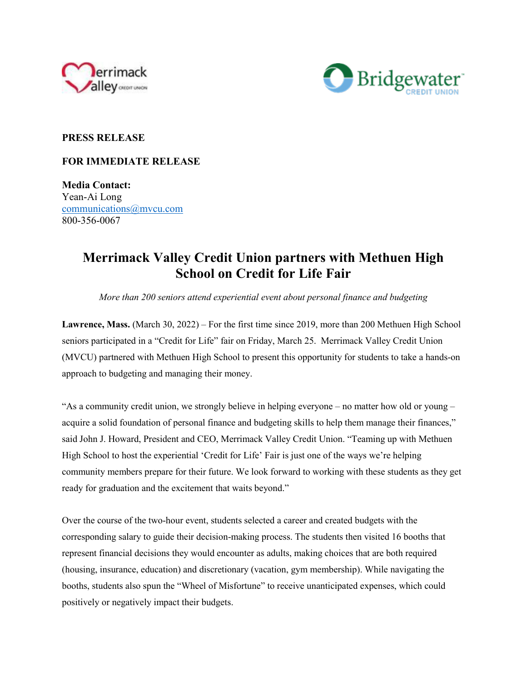



## **PRESS RELEASE**

## **FOR IMMEDIATE RELEASE**

**Media Contact:**  Yean-Ai Long communications@mvcu.com 800-356-0067

## **Merrimack Valley Credit Union partners with Methuen High School on Credit for Life Fair**

*More than 200 seniors attend experiential event about personal finance and budgeting*

**Lawrence, Mass.** (March 30, 2022) – For the first time since 2019, more than 200 Methuen High School seniors participated in a "Credit for Life" fair on Friday, March 25. Merrimack Valley Credit Union (MVCU) partnered with Methuen High School to present this opportunity for students to take a hands-on approach to budgeting and managing their money.

"As a community credit union, we strongly believe in helping everyone – no matter how old or young – acquire a solid foundation of personal finance and budgeting skills to help them manage their finances," said John J. Howard, President and CEO, Merrimack Valley Credit Union. "Teaming up with Methuen High School to host the experiential 'Credit for Life' Fair is just one of the ways we're helping community members prepare for their future. We look forward to working with these students as they get ready for graduation and the excitement that waits beyond."

Over the course of the two-hour event, students selected a career and created budgets with the corresponding salary to guide their decision-making process. The students then visited 16 booths that represent financial decisions they would encounter as adults, making choices that are both required (housing, insurance, education) and discretionary (vacation, gym membership). While navigating the booths, students also spun the "Wheel of Misfortune" to receive unanticipated expenses, which could positively or negatively impact their budgets.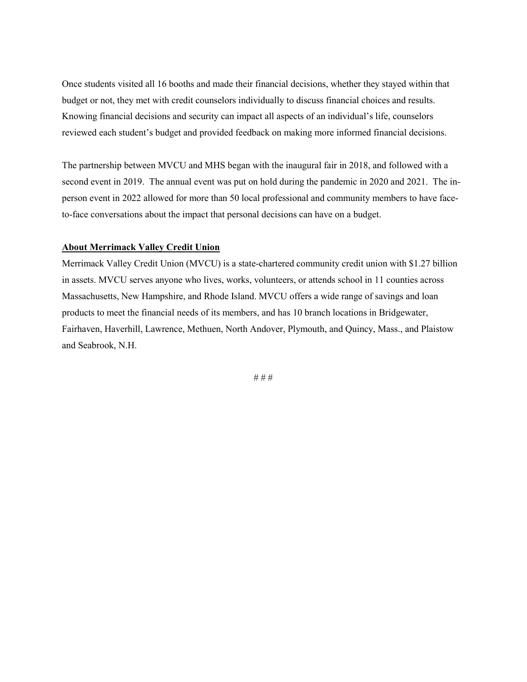Once students visited all 16 booths and made their financial decisions, whether they stayed within that budget or not, they met with credit counselors individually to discuss financial choices and results. Knowing financial decisions and security can impact all aspects of an individual's life, counselors reviewed each student's budget and provided feedback on making more informed financial decisions.

The partnership between MVCU and MHS began with the inaugural fair in 2018, and followed with a second event in 2019. The annual event was put on hold during the pandemic in 2020 and 2021. The inperson event in 2022 allowed for more than 50 local professional and community members to have faceto-face conversations about the impact that personal decisions can have on a budget.

## **About Merrimack Valley Credit Union**

Merrimack Valley Credit Union (MVCU) is a state-chartered community credit union with \$1.27 billion in assets. MVCU serves anyone who lives, works, volunteers, or attends school in 11 counties across Massachusetts, New Hampshire, and Rhode Island. MVCU offers a wide range of savings and loan products to meet the financial needs of its members, and has 10 branch locations in Bridgewater, Fairhaven, Haverhill, Lawrence, Methuen, North Andover, Plymouth, and Quincy, Mass., and Plaistow and Seabrook, N.H.

# # #